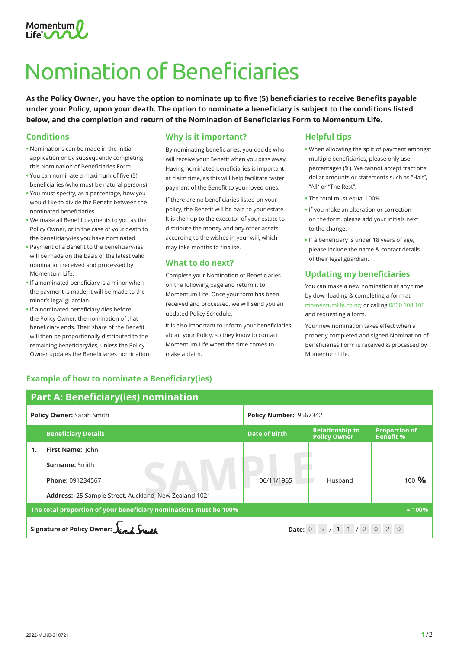

# Nomination of Beneficiaries

**As the Policy Owner, you have the option to nominate up to five (5) beneficiaries to receive Benefits payable under your Policy, upon your death. The option to nominate a beneficiary is subject to the conditions listed below, and the completion and return of the Nomination of Beneficiaries Form to Momentum Life.**

#### **Conditions**

- **•** Nominations can be made in the initial application or by subsequently completing this Nomination of Beneficiaries Form.
- **•** You can nominate a maximum of five (5) beneficiaries (who must be natural persons).
- **•** You must specify, as a percentage, how you would like to divide the Benefit between the nominated beneficiaries.
- **•** We make all Benefit payments to you as the Policy Owner, or in the case of your death to the beneficiary/ies you have nominated.
- **•** Payment of a Benefit to the beneficiary/ies will be made on the basis of the latest valid nomination received and processed by Momentum Life.
- **•** If a nominated beneficiary is a minor when the payment is made, it will be made to the minor's legal guardian.
- **•** If a nominated beneficiary dies before the Policy Owner, the nomination of that beneficiary ends. Their share of the Benefit will then be proportionally distributed to the remaining beneficiary/ies, unless the Policy Owner updates the Beneficiaries nomination.

#### **Why is it important?**

By nominating beneficiaries, you decide who will receive your Benefit when you pass away. Having nominated beneficiaries is important at claim time, as this will help facilitate faster payment of the Benefit to your loved ones.

If there are no beneficiaries listed on your policy, the Benefit will be paid to your estate. It is then up to the executor of your estate to distribute the money and any other assets according to the wishes in your will, which may take months to finalise.

#### **What to do next?**

Complete your Nomination of Beneficiaries on the following page and return it to Momentum Life. Once your form has been received and processed, we will send you an updated Policy Schedule.

It is also important to inform your beneficiaries about your Policy, so they know to contact Momentum Life when the time comes to make a claim.

#### **Helpful tips**

- **•** When allocating the split of payment amongst multiple beneficiaries, please only use percentages (%). We cannot accept fractions, dollar amounts or statements such as "Half", "All" or "The Rest".
- **•** The total must equal 100%.
- **•** If you make an alteration or correction on the form, please add your initials next to the change.
- If a beneficiary is under 18 years of age, please include the name & contact details of their legal guardian.

## **Updating my beneficiaries**

You can make a new nomination at any time by downloading & completing a form at momentumlife.co.nz; or calling 0800 108 108 and requesting a form.

Your new nomination takes effect when a properly completed and signed Nomination of Beneficiaries Form is received & processed by Momentum Life.

# **SAMPLE 2014 Now Zeeland 1931**<br>Red Now Zeeland 1931 **Example of how to nominate a Beneficiary(ies) Part A: Beneficiary(ies) nomination Policy Owner:** Sarah Smith **Policy Number:** 9567342 **Beneficiary Details Date of Birth Relationship to Policy Owner Proportion of Benefit % 1. First Name:** John **Surname:** Smith **Phone:** <sup>091234567</sup> 06/11/1965 Husband <sup>100</sup> **% Address:** 25 Sample Street, Auckland, New Zealand 1021 **The total proportion of your beneficiary nominations must be 100% = 100% Signature of Policy Owner:**  $\int_{\mathbb{R}} \int_{\mathbb{R}} \int_{\mathbb{R}} \int_{\mathbb{R}} \int_{\mathbb{R}} \int_{\mathbb{R}} \int_{\mathbb{R}} \int_{\mathbb{R}} \int_{\mathbb{R}} \int_{\mathbb{R}} \int_{\mathbb{R}} \int_{\mathbb{R}} \int_{\mathbb{R}} \int_{\mathbb{R}} \int_{\mathbb{R}} \int_{\mathbb{R}} \int_{\mathbb{R}} \int_{\mathbb{R}} \int_{\mathbb{R}} \int_{\mathbb{R}} \int_{\mathbb{R}} \int_{$